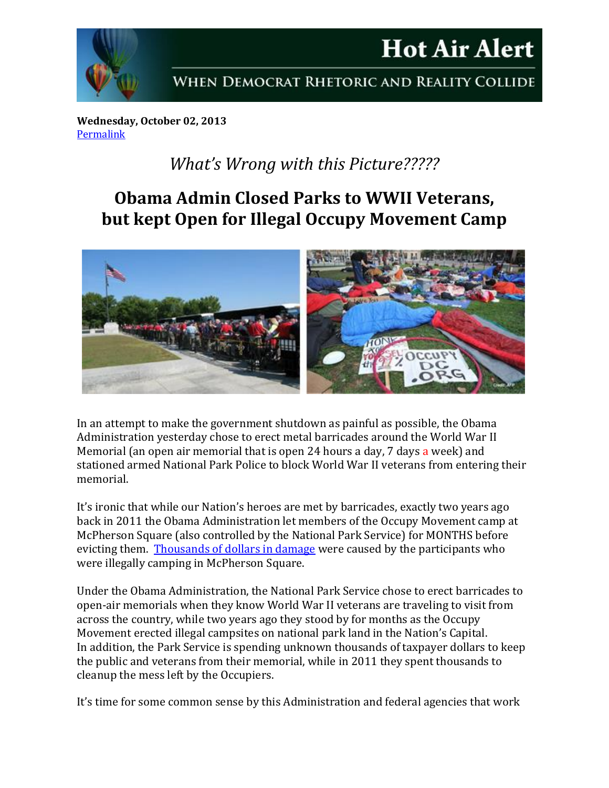

## **Hot Air Alert** WHEN DEMOCRAT RHETORIC AND REALITY COLLIDE

**Wednesday, October 02, 2013** [Permalink](http://naturalresources.house.gov/news/documentsingle.aspx?DocumentID=352177)

## *What's Wrong with this Picture?????*

## **Obama Admin Closed Parks to WWII Veterans, but kept Open for Illegal Occupy Movement Camp**



In an attempt to make the government shutdown as painful as possible, the Obama Administration yesterday chose to erect metal barricades around the World War II Memorial (an open air memorial that is open 24 hours a day, 7 days a week) and stationed armed National Park Police to block World War II veterans from entering their memorial.

It's ironic that while our Nation's heroes are met by barricades, exactly two years ago back in 2011 the Obama Administration let members of the Occupy Movement camp at McPherson Square (also controlled by the National Park Service) for MONTHS before evicting them. [Thousands of dollars in damage](http://www.washingtonpost.com/local/park-service-starts-renovation-of-occupy-damaged-mcpherson-square/2012/04/26/gIQACHd4jT_story.html) were caused by the participants who were illegally camping in McPherson Square.

Under the Obama Administration, the National Park Service chose to erect barricades to open-air memorials when they know World War II veterans are traveling to visit from across the country, while two years ago they stood by for months as the Occupy Movement erected illegal campsites on national park land in the Nation's Capital. In addition, the Park Service is spending unknown thousands of taxpayer dollars to keep the public and veterans from their memorial, while in 2011 they spent thousands to cleanup the mess left by the Occupiers.

It's time for some common sense by this Administration and federal agencies that work